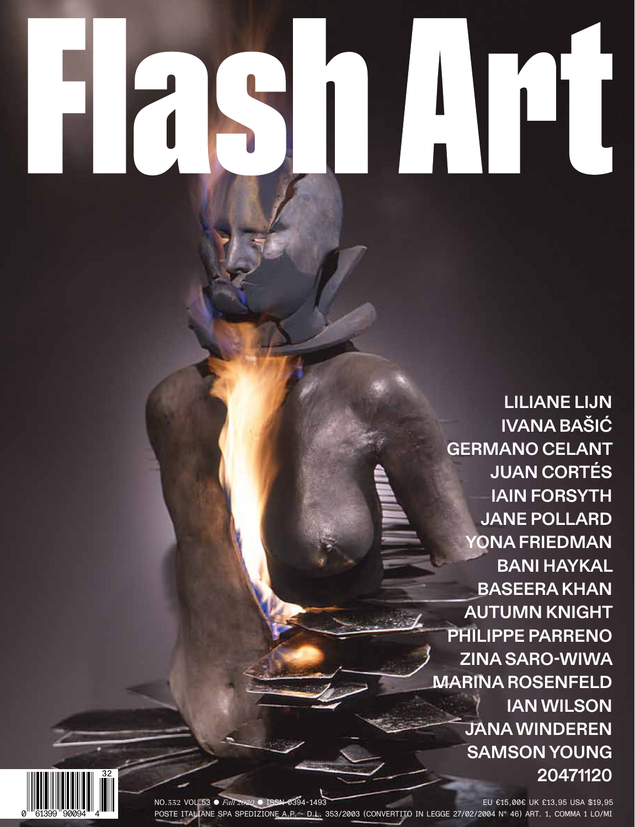$\mathbf{r}$ 

**LILIANE LIJN IVANA BAŠIĆ GERMANO CELANT JUAN CORTÉS IAIN FORSYTH JANE POLLARD YONA FRIEDMAN BANI HAYKAL BASEERA KHAN AUTUMN KNIGHT PHILIPPE PARRENO ZINA SARO-WIWA MARINA ROSENFELD IAN WILSON JANA WINDEREN SAMSON YOUNG 20471120**



NO.332 VOL.53 ● *Fall 2020* ● ISSN 0394-1493 EU €15,00€ UK £13,95 USA \$19,95 POSTE ITALIANE SPA SPEDIZIONE A.P. - D.L. 353/2003 (CONVERTITO IN LEGGE 27/02/2004 N° 46) ART. 1, COMMA 1 LO/MI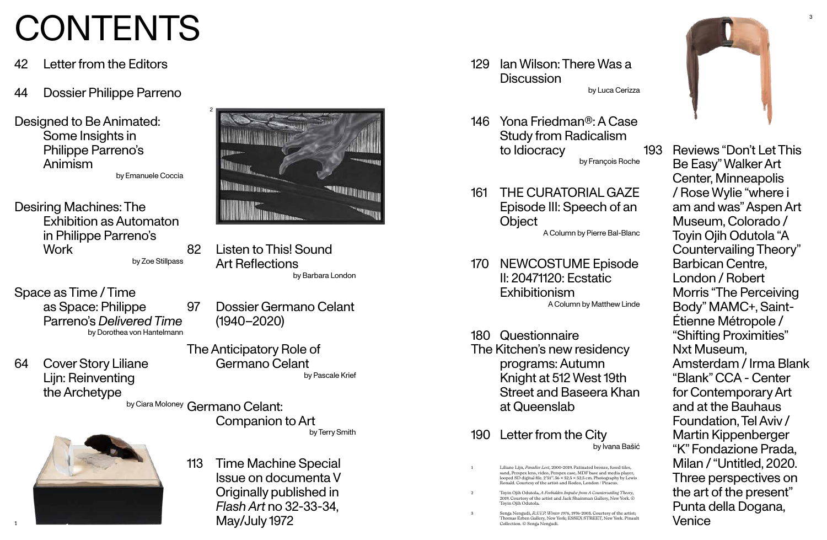- 42 Letter from the Editors
- 44 Dossier Philippe Parreno
- Designed to Be Animated: Some Insights in Philippe Parreno's Animism

Desiring Machines: The Exhibition as Automaton in Philippe Parreno's **Work** 

by Emanuele Coccia

64 Cover Story Liliane Lijn: Reinventing the Archetype

by Zoe Stillpass Space as Time / Time

as Space: Philippe Parreno's *Delivered Time* by Dorothea von Hantelmann

113 Time Machine Special Issue on documenta V Originally published in *Flash Art* no 32-33-34,  ${\sf May}/$ July 1972

- 129 Ian Wilson: There Was a **Discussion**
- 146 Yona Friedman®:A Case Study from Radicalism to Idiocracy
- 161 THE CURATORIAL GAZE Episode III: Speech of an **Object**

82 Listen to This! Sound Art Reflections

by Barbara London

by Ciara Moloney Germano Celant:

97 Dossier Germano Celant (1940–2020)

The Anticipatory Role of Germano Celant

by Pascale Krief

Companion to Art

by Terry Smith

by Luca Cerizza

by François Roche

A Column by Pierre Bal-Blanc

170 NEWCOSTUME Episode II: 20471120: Ecstatic Exhibitionism A Column by Matthew Linde

180 Questionnaire The Kitchen's new residency programs: Autumn Knight at 512 West 19th Street and Baseera Khan at Queenslab

> 3 Senga Nengudi, *R.S.V.P. Winter 1976*, 1976-2003. Courtesy of the artist; Extra Trenguary, New York; ESSEX STREET, New York. Pinault<br>Collection. © Senga Nengudi.



190 Letter from the City

### by Ivana Bašić

193 Reviews "Don't Let This Be Easy" Walker Art Center, Minneapolis / Rose Wylie "where i am and was"Aspen Art Museum, Colorado / Toyin Ojih Odutola "A Countervailing Theory" Barbican Centre, London / Robert Morris "The Perceiving Body" MAMC+, Saint-Étienne Métropole / "Shifting Proximities" Nxt Museum, Amsterdam / Irma Blank "Blank" CCA - Center for Contemporary Art and at the Bauhaus Foundation. Tel Aviv / Martin Kippenberger "K" Fondazione Prada, Milan / "Untitled, 2020. Three perspectives on the art of the present" Punta della Dogana, Venice

# CONTENTS

1 Liliane Lijn, *Paradise Lost*, 2000-2019. Patinated bronze, fused tiles, sand, Perspex lens, video, Perspex case, MDF base and media player, looped SD digital file. 2'51''. 36 × 52.5 × 52.5 cm. Photography by Lewis Ronald. Courtesy of the artist and Rodeo, London / Piraeus. 2 Toyin Ojih Odutola, *A Forbidden Impulse from A Countervailing Theory*, 2019. Courtesy of the artist and Jack Shainman Gallery, New York. © Toyin Ojih Odutola.

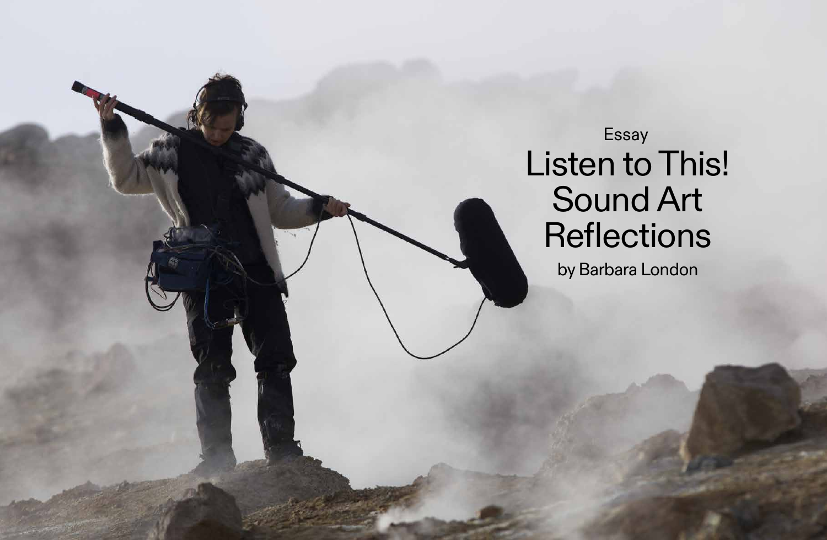by Barbara London



## Essay Listen to This! Sound Art Reflections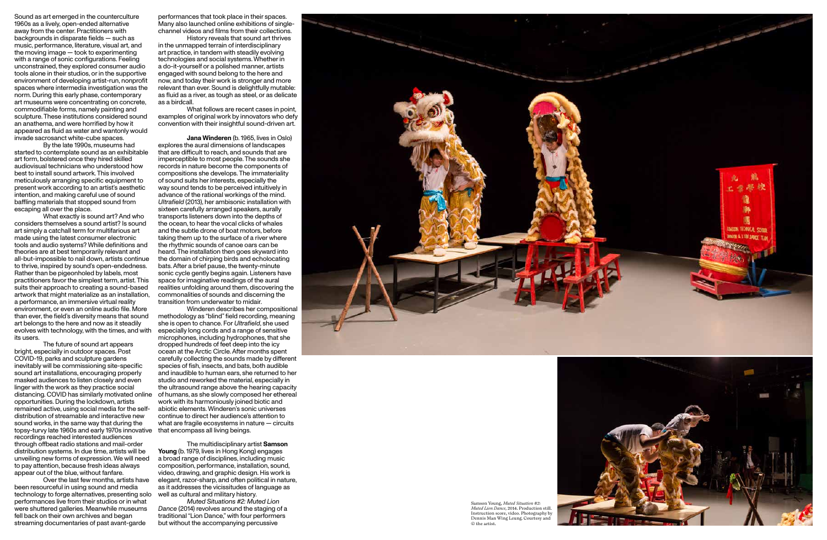1960s as a lively, open-ended alternative away from the center. Practitioners with backgrounds in disparate fields — such as music, performance, literature, visual art, and the moving image — took to experimenting with a range of sonic configurations. Feeling unconstrained, they explored consumer audio tools alone in their studios, or in the supportive environment of developing artist-run, nonprofit spaces where intermedia investigation was the norm. During this early phase, contemporary art museums were concentrating on concrete, commodifiable forms, namely painting and sculpture. These institutions considered sound an anathema, and were horrified by how it appeared as fluid as water and wantonly would invade sacrosanct white-cube spaces.

By the late 1990s, museums had started to contemplate sound as an exhibitable art form, bolstered once they hired skilled audiovisual technicians who understood how best to install sound artwork. This involved meticulously arranging specific equipment to present work according to an artist's aesthetic intention, and making careful use of sound ba fing materials that stopped sound from escaping all over the place.

What exactly is sound art? And who considers themselves a sound artist? Is sound art simply a catchall term for multifarious art made using the latest consumer electronic tools and audio systems? While definitions and theories are at best temporarily relevant and all-but-impossible to nail down, artists continue to thrive, inspired by sound's open-endedness. Rather than be pigeonholed by labels, most practitioners favor the simplest term, artist. This suits their approach to creating a sound-based artwork that might materialize as an installation, a performance, an immersive virtual reality environment, or even an online audio file. More than ever, the field's diversity means that sound art belongs to the here and now as it steadily evolves with technology, with the times, and with its users.

The future of sound art appears bright, especially in outdoor spaces. Post COVID-19, parks and sculpture gardens inevitably will be commissioning site-specific sound art installations, encouraging properly masked audiences to listen closely and even linger with the work as they practice social distancing. COVID has similarly motivated online opportunities. During the lockdown, artists remained active, using social media for the selfdistribution of streamable and interactive new sound works, in the same way that during the topsy-turvy late 1960s and early 1970s innovative recordings reached interested audiences through o fbeat radio stations and mail-order distribution systems. In due time, artists will be unveiling new forms of expression. We will need to pay attention, because fresh ideas always appear out of the blue, without fanfare.

Over the last few months, artists have been resourceful in using sound and media technology to forge alternatives, presenting solo performances live from their studios or in what were shuttered galleries. Meanwhile museums fell back on their own archives and began streaming documentaries of past avant-garde



Many also launched online exhibitions of singlechannel videos and films from their collections. History reveals that sound art thrives

in the unmapped terrain of interdisciplinary art practice, in tandem with steadily evolving technologies and social systems. Whether in a do-it-yourself or a polished manner, artists engaged with sound belong to the here and now, and today their work is stronger and more relevant than ever. Sound is delightfully mutable: as fluid as a river, as tough as steel, or as delicate as a birdcall.

What follows are recent cases in point, examples of original work by innovators who defy convention with their insightful sound-driven art.

**Jana Winderen** (b. 1965, lives in Oslo) explores the aural dimensions of landscapes that are difficult to reach, and sounds that are imperceptible to most people. The sounds she records in nature become the components of compositions she develops. The immateriality of sound suits her interests, especially the way sound tends to be perceived intuitively in advance of the rational workings of the mind. *Ultrafield* (2013), her ambisonic installation with sixteen carefully arranged speakers, aurally transports listeners down into the depths of the ocean, to hear the vocal clicks of whales and the subtle drone of boat motors, before taking them up to the surface of a river where the rhythmic sounds of canoe oars can be heard. The installation then goes skyward into the domain of chirping birds and echolocating bats. After a brief pause, the twenty-minute sonic cycle gently begins again. Listeners have space for imaginative readings of the aural realities unfolding around them, discovering the commonalities of sounds and discerning the transition from underwater to midair.

Winderen describes her compositional methodology as "blind" field recording, meaning she is open to chance. For *Ultrafield*, she used especially long cords and a range of sensitive microphones, including hydrophones, that she dropped hundreds of feet deep into the icy ocean at the Arctic Circle. After months spent carefully collecting the sounds made by di ferent species of fish, insects, and bats, both audible and inaudible to human ears, she returned to her studio and reworked the material, especially in the ultrasound range above the hearing capacity of humans, as she slowly composed her ethereal work with its harmoniously joined biotic and abiotic elements. Winderen's sonic universes continue to direct her audience's attention to what are fragile ecosystems in nature — circuits that encompass all living beings.

The multidisciplinary artist **Samson Young** (b. 1979, lives in Hong Kong) engages a broad range of disciplines, including music composition, performance, installation, sound, video, drawing, and graphic design. His work is elegant, razor-sharp, and often political in nature, as it addresses the vicissitudes of language as well as cultural and military history.

*Muted Situations #2: Muted Lion Dance* (2014) revolves around the staging of a traditional "Lion Dance," with four performers but without the accompanying percussive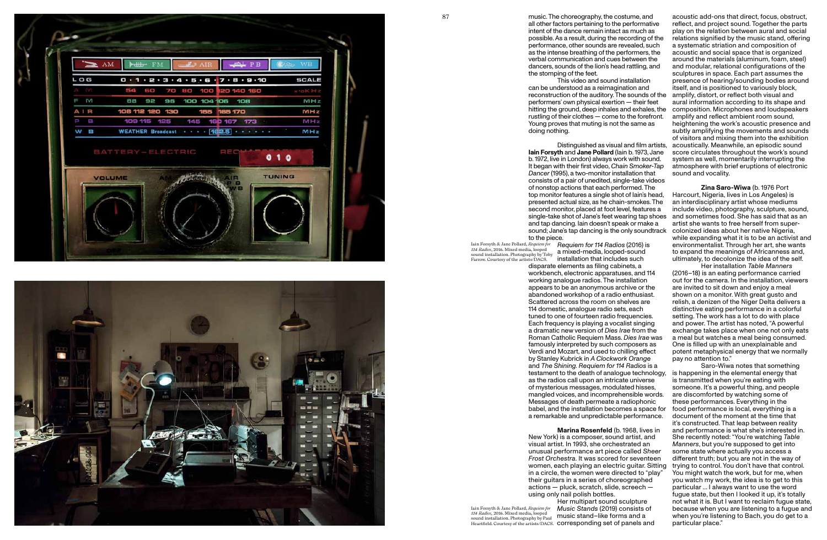



all other factors pertaining to the performative intent of the dance remain intact as much as performance, other sounds are revealed, such as the intense breathing of the performers, the verbal communication and cues between the dancers, sounds of the lion's head rattling, and the stomping of the feet.

disparate elements as filing cabinets, a workbench, electronic apparatuses, and 114 working analogue radios. The installation appears to be an anonymous archive or the abandoned workshop of a radio enthusiast. Scattered across the room on shelves are 114 domestic, analogue radio sets, each tuned to one of fourteen radio frequencies. Each frequency is playing a vocalist singing a dramatic new version of *Dies Irae* from the Roman Catholic Requiem Mass. *Dies Irae* was famously interpreted by such composers as Verdi and Mozart, and used to chilling efect by Stanley Kubrick in *A Clockwork Orange*  and *The Shining. Requiem for 114 Radios* is a as the radios call upon an intricate universe of mysterious messages, modulated hisses, mangled voices, and incomprehensible words. Messages of death permeate a radiophonic a remarkable and unpredictable performance.

87 **and 27** music. The choreography, the costume, and possible. As a result, during the recording of the This video and sound installation can be understood as a reimagination and reconstruction of the auditory. The sounds of the performers' own physical exertion — their feet hitting the ground, deep inhales and exhales, the rustling of their clothes — come to the forefront. Young proves that muting is not the same as doing nothing. Distinguished as visual and film artists, **Iain Forsyth** and **Jane Pollard** (Iain b. 1973, Jane b. 1972, live in London) always work with sound. It began with their first video, *Chain Smoker-Tap Dancer* (1995), a two-monitor installation that acoustic add-ons that direct, focus, obstruct, reflect, and project sound. Together the parts play on the relation between aural and social relations signified by the music stand, offering a systematic striation and composition of acoustic and social space that is organized around the materials (aluminum, foam, steel) and modular, relational configurations of the sculptures in space. Each part assumes the presence of hearing/sounding bodies around itself, and is positioned to variously block, amplify, distort, or reflect both visual and aural information according to its shape and composition. Microphones and loudspeakers amplify and reflect ambient room sound, heightening the work's acoustic presence and subtly amplifying the movements and sounds of visitors and mixing them into the exhibition acoustically. Meanwhile, an episodic sound score circulates throughout the work's sound system as well, momentarily interrupting the atmosphere with brief eruptions of electronic sound and vocality.

consists of a pair of unedited, single-take videos of nonstop actions that each performed. The top monitor features a single shot of Iain's head, presented actual size, as he chain-smokes. The second monitor, placed at foot level, features a single-take shot of Jane's feet wearing tap shoes and tap dancing. Iain doesn't speak or make a sound; Jane's tap dancing is the only soundtrack to the piece. *Requiem for 114 Radios* (2016) is Iain Forsyth & Jane Pollard, *Requiem for*  114 *Radios*, 2016. Mixed media, looped<br>sound installation. Photography by Toby **a** mixed-media, looped-sound installation that includes such **Zina Saro-Wiwa** (b. 1976 Port Harcourt, Nigeria, lives in Los Angeles) is an interdisciplinary artist whose mediums include video, photography, sculpture, sound, and sometimes food. She has said that as an artist she wants to free herself from supercolonized ideas about her native Nigeria, while expanding what it is to be an activist and environmentalist. Through her art, she wants to expand the meanings of Africanness and, ultimately, to decolonize the idea of the self.

testament to the death of analogue technology, babel, and the installation becomes a space for **Marina Rosenfeld** (b. 1968, lives in New York) is a composer, sound artist, and visual artist. In 1993, she orchestrated an unusual performance art piece called *Sheer Frost Orchestra*. It was scored for seventeen women, each playing an electric guitar. Sitting in a circle, the women were directed to "play" their guitars in a series of choreographed actions — pluck, scratch, slide, screech using only nail polish bottles. Her multipart sound sculpture *Music Stands* (2019) consists of music stand–like forms and a Heartfield. Courtesy of the artists/DACS. **COrresponding set of panels and** Saro-Wiwa notes that something is happening in the elemental energy that is transmitted when you're eating with someone. It's a powerful thing, and people are discomforted by watching some of these performances. Everything in the food performance is local, everything is a document of the moment at the time that it's constructed. That leap between reality and performance is what she's interested in. She recently noted: "You're watching *Table Manners*, but you're supposed to get into some state where actually you access a diferent truth; but you are not in the way of trying to control. You don't have that control. You might watch the work, but for me, when you watch my work, the idea is to get to this particular … I always want to use the word fugue state, but then I looked it up, it's totally not what it is. But I want to reclaim fugue state, because when you are listening to a fugue and when you're listening to Bach, you do get to a particular place."

Her installation *Table Manners*  (2016–18) is an eating performance carried out for the camera. In the installation, viewers are invited to sit down and enjoy a meal shown on a monitor. With great gusto and relish, a denizen of the Niger Delta delivers a distinctive eating performance in a colorful setting. The work has a lot to do with place and power. The artist has noted, "A powerful exchange takes place when one not only eats a meal but watches a meal being consumed. One is filled up with an unexplainable and potent metaphysical energy that we normally pay no attention to."

Farrow. Courtesy of the artists/DACS.

Iain Forsyth & Jane Pollard, *Requiem for 114 Radios,* 2016. Mixed media, looped sound installation. Photography by Paul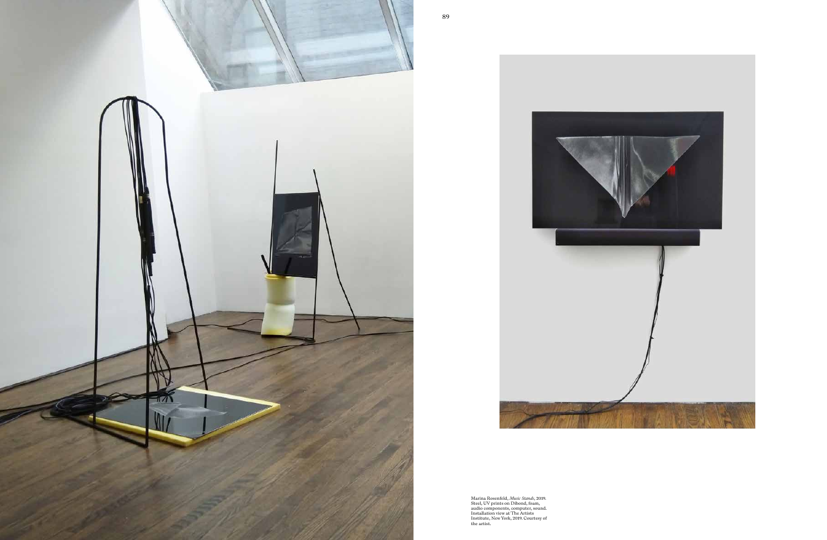



Marina Rosenfeld, *Music Stands*, 2019. Steel, UV prints on Dibond, foam, audio components, computer, sound. Installation view at The Artists Institute, New York, 2019. Courtesy of the artist.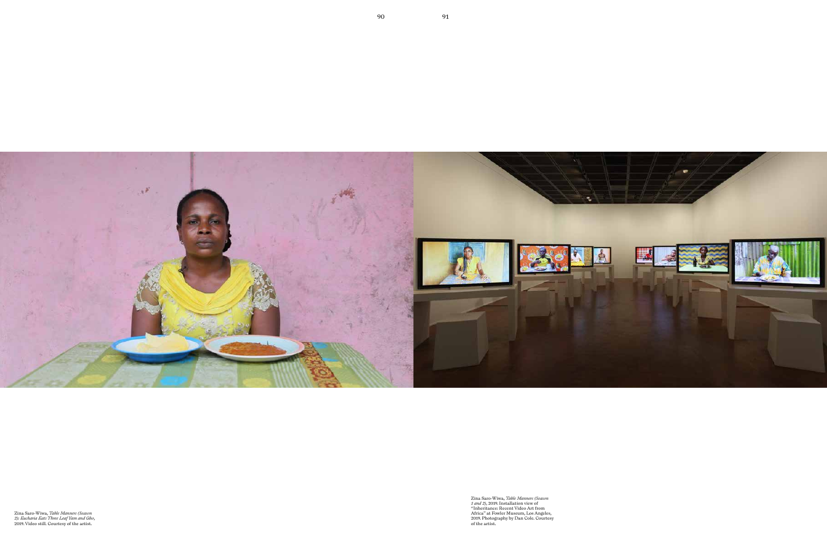![](_page_6_Picture_0.jpeg)

Zina Saro-Wiwa, *Table Manners (Season 1 and 2)*, 2019. Installation view of "Inheritance: Recent Video Art from Africa" at Fowler Museum, Los Angeles, 2019. Photography by Dan Cole. Courtesy of the artist.

Zina Saro-Wiwa, *Table Manners (Season 2): Eucharia Eats Three Leaf Yam and Gho*, 2019. Video still. Courtesy of the artist.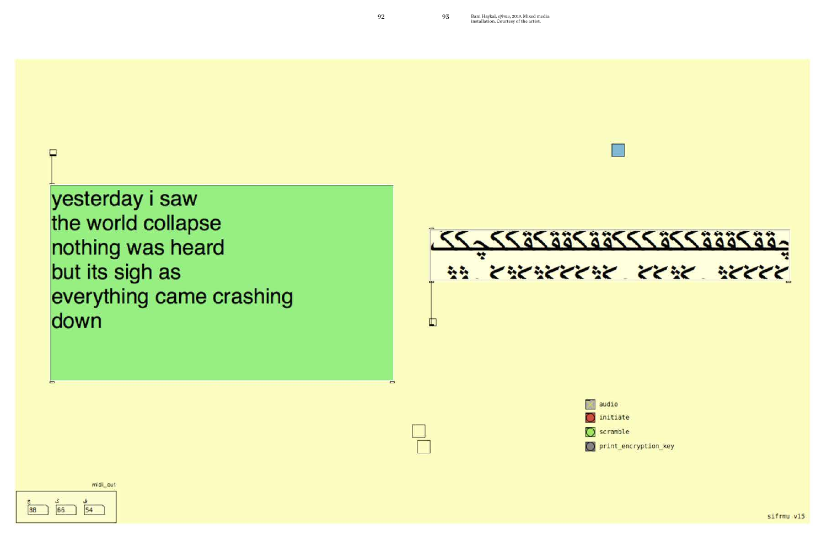yesterday i saw the world collapse nothing was heard but its sigh as everything came crashing down

![](_page_7_Figure_2.jpeg)

midl\_out

![](_page_7_Picture_4.jpeg)

₽

installation. Courtesy of the artist.

![](_page_7_Picture_7.jpeg)

 $\Box$  audio

 $\bigcap$  initiate

 $\bigcirc$  scramble

print encryption key